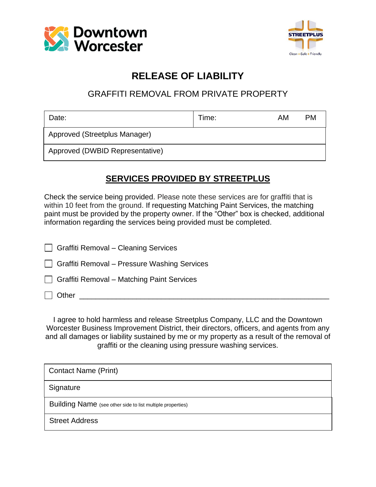



## **RELEASE OF LIABILITY**

### GRAFFITI REMOVAL FROM PRIVATE PROPERTY

| Date:                           | Time: | AM | <b>PM</b> |
|---------------------------------|-------|----|-----------|
| Approved (Streetplus Manager)   |       |    |           |
| Approved (DWBID Representative) |       |    |           |

#### **SERVICES PROVIDED BY STREETPLUS**

Check the service being provided. Please note these services are for graffiti that is within 10 feet from the ground. If requesting Matching Paint Services, the matching paint must be provided by the property owner. If the "Other" box is checked, additional information regarding the services being provided must be completed.

| Graffiti Removal - Cleaning Services         |  |
|----------------------------------------------|--|
| Graffiti Removal - Pressure Washing Services |  |
| Graffiti Removal - Matching Paint Services   |  |
| $\Box$ Other                                 |  |

I agree to hold harmless and release Streetplus Company, LLC and the Downtown Worcester Business Improvement District, their directors, officers, and agents from any and all damages or liability sustained by me or my property as a result of the removal of graffiti or the cleaning using pressure washing services.

| <b>Contact Name (Print)</b>                                |
|------------------------------------------------------------|
| Signature                                                  |
| Building Name (see other side to list multiple properties) |
| <b>Street Address</b>                                      |